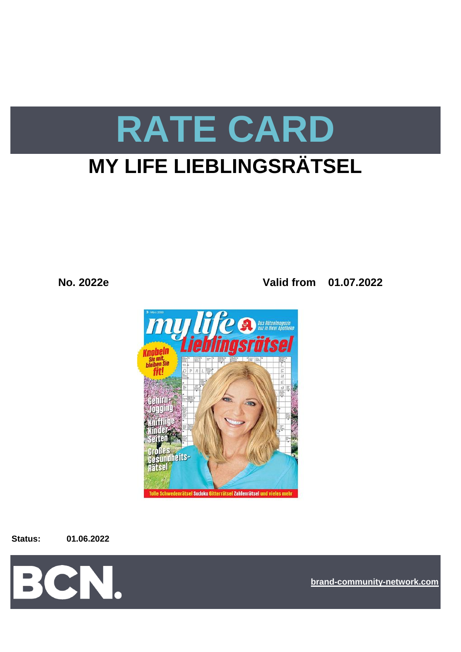# **RATE CARD MY LIFE LIEBLINGSRÄTSEL**

**No. 2022e Valid from 01.07.2022**



**Status: 01.06.2022**



**[bra](https://bcn.burda.com/)nd-community-network.com**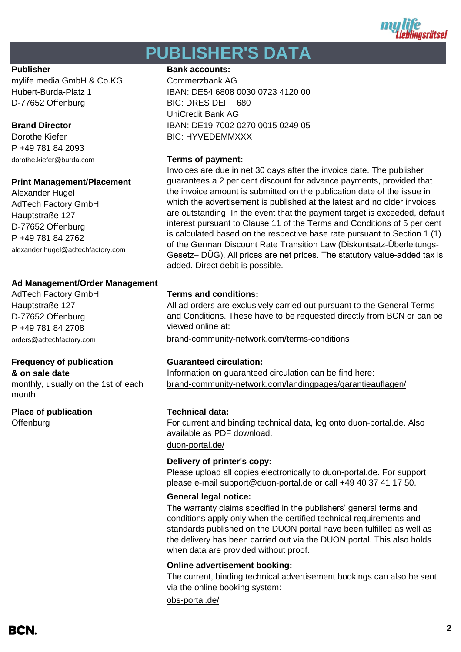

## **PUBLISHER'S DATA**

mylife media GmbH & Co.KG Commerzbank AG D-77652 Offenburg BIC: DRES DEFF 680

P +49 781 84 2093 dorothe.kiefer@burda.com **Terms of payment:**

#### **Print Management/Placement**

Alexander Hugel AdTech Factory GmbH Hauptstraße 127 D-77652 Offenburg P +49 781 84 2762 alexander.hugel@adtechfactory.com

#### **Ad Management/Order Management**

Hauptstraße 127 D-77652 Offenburg P +49 781 84 2708

### **Frequency of publication Guaranteed circulation:**

monthly, usually on the 1st of each month

**Place of publication Technical data: Offenburg** 

#### **Publisher Bank accounts:**

Hubert-Burda-Platz 1 IBAN: DE54 6808 0030 0723 4120 00 UniCredit Bank AG **Brand Director IBAN: DE19 7002 0270 0015 0249 05** Dorothe Kiefer **BIC: HYVEDEMMXXX** 

Invoices are due in net 30 days after the invoice date. The publisher guarantees a 2 per cent discount for advance payments, provided that the invoice amount is submitted on the publication date of the issue in which the advertisement is published at the latest and no older invoices are outstanding. In the event that the payment target is exceeded, default interest pursuant to Clause 11 of the Terms and Conditions of 5 per cent is calculated based on the respective base rate pursuant to Section 1 (1) of the German Discount Rate Transition Law (Diskontsatz-Überleitungs-Gesetz– DÜG). All prices are net prices. The statutory value-added tax is added. Direct debit is possible.

### AdTech Factory GmbH **Terms and conditions:**

All ad orders are exclusively carried out pursuant to the General Terms and Conditions. These have to be requested directly from BCN or can be viewed online at:

[orders@adtechfactory.com](mailto:orders@adtechfactory.com) [brand-community-network.com/terms-conditions](https://bcn.burda.com/terms-conditions)

**& on sale date** Information on guaranteed circulation can be find here: [brand-community-network.com/landingpages/garantieauflagen/](https://bcn.burda.com/garantieauflagen)

[duon-portal.de/](https://duon-portal.de/) For current and binding technical data, log onto duon-portal.de. Also available as PDF download.

### **Delivery of printer's copy:**

Please upload all copies electronically to duon-portal.de. For support please e-mail support@duon-portal.de or call +49 40 37 41 17 50.

#### **General legal notice:**

The warranty claims specified in the publishers' general terms and conditions apply only when the certified technical requirements and standards published on the DUON portal have been fulfilled as well as the delivery has been carried out via the DUON portal. This also holds when data are provided without proof.

#### **Online advertisement booking:**

The current, binding technical advertisement bookings can also be sent via the online booking system:

[obs-portal.de/](https://www.obs-portal.de/)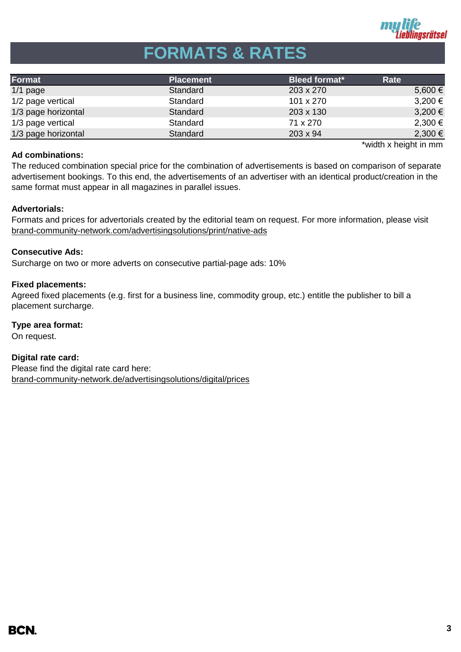

## **FORMATS & RATES**

| Format              | <b>Placement</b> | <b>Bleed format*</b> | Rate        |
|---------------------|------------------|----------------------|-------------|
| $1/1$ page          | Standard         | 203 x 270            | 5,600 €     |
| 1/2 page vertical   | Standard         | 101 x 270            | $3,200 \in$ |
| 1/3 page horizontal | Standard         | 203 x 130            | $3,200 \in$ |
| 1/3 page vertical   | Standard         | 71 x 270             | $2,300 \in$ |
| 1/3 page horizontal | Standard         | $203 \times 94$      | 2,300 €     |

#### **Ad combinations:**

\*width x height in mm

The reduced combination special price for the combination of advertisements is based on comparison of separate advertisement bookings. To this end, the advertisements of an advertiser with an identical product/creation in the same format must appear in all magazines in parallel issues.

#### **Advertorials:**

Formats and prices for advertorials created by the editorial team on request. For more information, please visit [brand-community-network.com/advertisin](https://bcn.burda.com/advertisingsolutions/print/native-ads)gsolutions/print/native-ads

#### **Consecutive Ads:**

Surcharge on two or more adverts on consecutive partial-page ads: 10%

#### **Fixed placements:**

Agreed fixed placements (e.g. first for a business line, commodity group, etc.) entitle the publisher to bill a placement surcharge.

**Type area format:**

On request.

**Digital rate card:** Please find the digital rate card here: [brand-community-network.de/advertisingsolutions/digital/prices](https://bcn.burda.com/advertisingsolutions/digital/prices)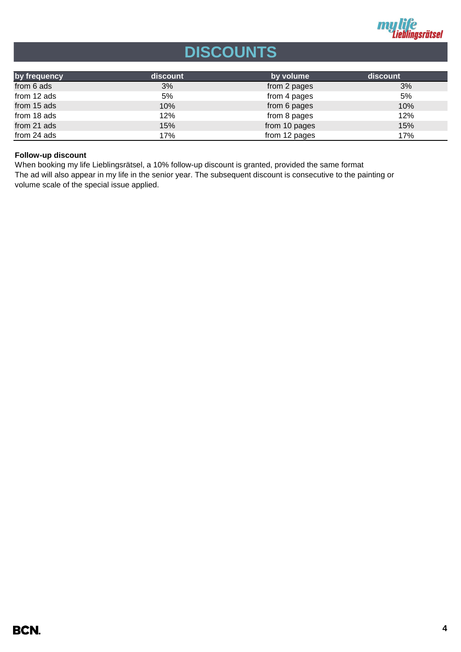

## **DISCOUNTS**

| by frequency | <b>discount</b> | by volume     | discount |
|--------------|-----------------|---------------|----------|
| from 6 ads   | 3%              | from 2 pages  | 3%       |
| from 12 ads  | 5%              | from 4 pages  | 5%       |
| from 15 ads  | 10%             | from 6 pages  | 10%      |
| from 18 ads  | 12%             | from 8 pages  | 12%      |
| from 21 ads  | 15%             | from 10 pages | 15%      |
| from 24 ads  | 17%             | from 12 pages | 17%      |

#### **Follow-up discount**

The ad will also appear in my life in the senior year. The subsequent discount is consecutive to the painting or volume scale of the special issue applied. When booking my life Lieblingsrätsel, a 10% follow-up discount is granted, provided the same format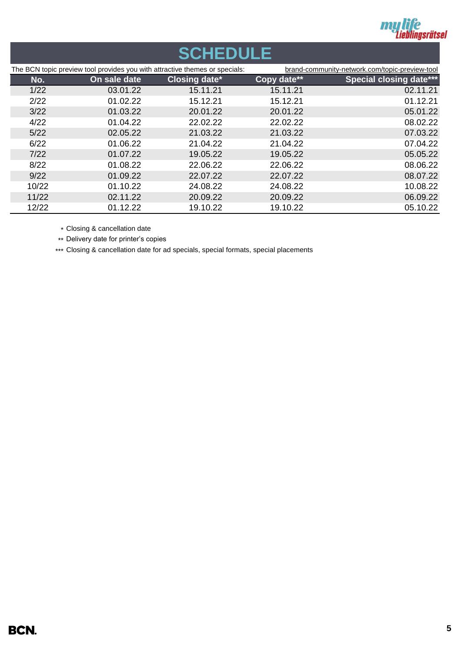

## **SCHEDULE**

| The BCN topic preview tool provides you with attractive themes or specials: |              | brand-community-network.com/topic-preview-tool |             |                                |
|-----------------------------------------------------------------------------|--------------|------------------------------------------------|-------------|--------------------------------|
| No.                                                                         | On sale date | <b>Closing date*</b>                           | Copy date** | <b>Special closing date***</b> |
| 1/22                                                                        | 03.01.22     | 15.11.21                                       | 15.11.21    | 02.11.21                       |
| 2/22                                                                        | 01.02.22     | 15.12.21                                       | 15.12.21    | 01.12.21                       |
| 3/22                                                                        | 01.03.22     | 20.01.22                                       | 20.01.22    | 05.01.22                       |
| 4/22                                                                        | 01.04.22     | 22.02.22                                       | 22.02.22    | 08.02.22                       |
| 5/22                                                                        | 02.05.22     | 21.03.22                                       | 21.03.22    | 07.03.22                       |
| 6/22                                                                        | 01.06.22     | 21.04.22                                       | 21.04.22    | 07.04.22                       |
| 7/22                                                                        | 01.07.22     | 19.05.22                                       | 19.05.22    | 05.05.22                       |
| 8/22                                                                        | 01.08.22     | 22.06.22                                       | 22.06.22    | 08.06.22                       |
| 9/22                                                                        | 01.09.22     | 22.07.22                                       | 22.07.22    | 08.07.22                       |
| 10/22                                                                       | 01.10.22     | 24.08.22                                       | 24.08.22    | 10.08.22                       |
| 11/22                                                                       | 02.11.22     | 20.09.22                                       | 20.09.22    | 06.09.22                       |
| 12/22                                                                       | 01.12.22     | 19.10.22                                       | 19.10.22    | 05.10.22                       |

\* Closing & cancellation date

\*\* Delivery date for printer's copies

\*\*\* Closing & cancellation date for ad specials, special formats, special placements